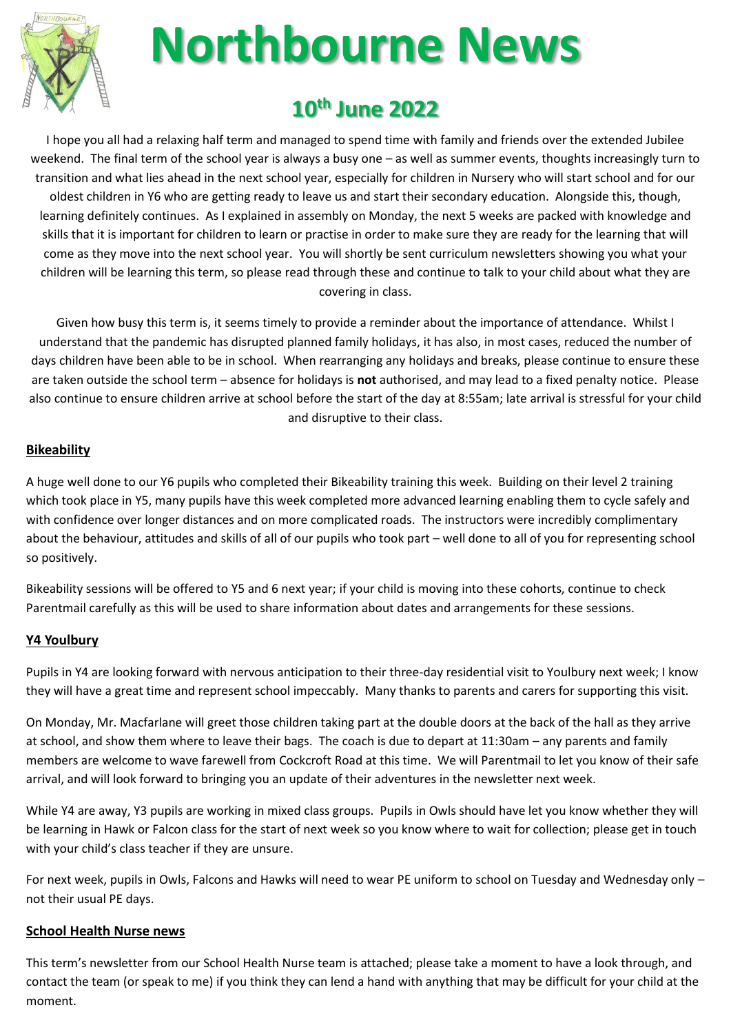

# **Northbourne News**

# **10th June 2022**

I hope you all had a relaxing half term and managed to spend time with family and friends over the extended Jubilee weekend. The final term of the school year is always a busy one – as well as summer events, thoughts increasingly turn to transition and what lies ahead in the next school year, especially for children in Nursery who will start school and for our oldest children in Y6 who are getting ready to leave us and start their secondary education. Alongside this, though, learning definitely continues. As I explained in assembly on Monday, the next 5 weeks are packed with knowledge and skills that it is important for children to learn or practise in order to make sure they are ready for the learning that will come as they move into the next school year. You will shortly be sent curriculum newsletters showing you what your children will be learning this term, so please read through these and continue to talk to your child about what they are covering in class.

Given how busy this term is, it seems timely to provide a reminder about the importance of attendance. Whilst I understand that the pandemic has disrupted planned family holidays, it has also, in most cases, reduced the number of days children have been able to be in school. When rearranging any holidays and breaks, please continue to ensure these are taken outside the school term – absence for holidays is **not** authorised, and may lead to a fixed penalty notice. Please also continue to ensure children arrive at school before the start of the day at 8:55am; late arrival is stressful for your child and disruptive to their class.

# **Bikeability**

A huge well done to our Y6 pupils who completed their Bikeability training this week. Building on their level 2 training which took place in Y5, many pupils have this week completed more advanced learning enabling them to cycle safely and with confidence over longer distances and on more complicated roads. The instructors were incredibly complimentary about the behaviour, attitudes and skills of all of our pupils who took part – well done to all of you for representing school so positively.

Bikeability sessions will be offered to Y5 and 6 next year; if your child is moving into these cohorts, continue to check Parentmail carefully as this will be used to share information about dates and arrangements for these sessions.

# **Y4 Youlbury**

Pupils in Y4 are looking forward with nervous anticipation to their three-day residential visit to Youlbury next week; I know they will have a great time and represent school impeccably. Many thanks to parents and carers for supporting this visit.

On Monday, Mr. Macfarlane will greet those children taking part at the double doors at the back of the hall as they arrive at school, and show them where to leave their bags. The coach is due to depart at 11:30am – any parents and family members are welcome to wave farewell from Cockcroft Road at this time. We will Parentmail to let you know of their safe arrival, and will look forward to bringing you an update of their adventures in the newsletter next week.

While Y4 are away, Y3 pupils are working in mixed class groups. Pupils in Owls should have let you know whether they will be learning in Hawk or Falcon class for the start of next week so you know where to wait for collection; please get in touch with your child's class teacher if they are unsure.

For next week, pupils in Owls, Falcons and Hawks will need to wear PE uniform to school on Tuesday and Wednesday only – not their usual PE days.

# **School Health Nurse news**

This term's newsletter from our School Health Nurse team is attached; please take a moment to have a look through, and contact the team (or speak to me) if you think they can lend a hand with anything that may be difficult for your child at the moment.